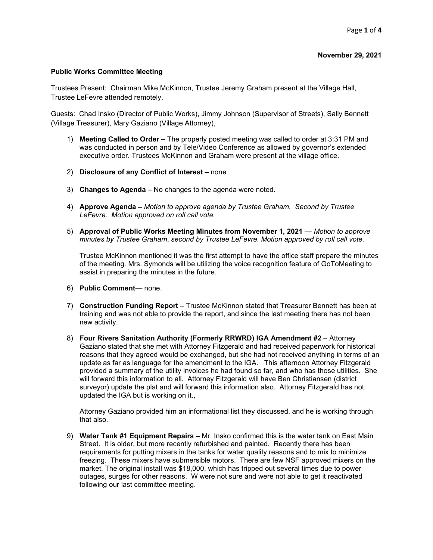## **Public Works Committee Meeting**

Trustees Present: Chairman Mike McKinnon, Trustee Jeremy Graham present at the Village Hall, Trustee LeFevre attended remotely.

Guests: Chad Insko (Director of Public Works), Jimmy Johnson (Supervisor of Streets), Sally Bennett (Village Treasurer), Mary Gaziano (Village Attorney),

- 1) **Meeting Called to Order –** The properly posted meeting was called to order at 3:31 PM and was conducted in person and by Tele/Video Conference as allowed by governor's extended executive order. Trustees McKinnon and Graham were present at the village office.
- 2) **Disclosure of any Conflict of Interest –** none
- 3) **Changes to Agenda –** No changes to the agenda were noted.
- 4) **Approve Agenda –** *Motion to approve agenda by Trustee Graham. Second by Trustee LeFevre. Motion approved on roll call vote.*
- 5) **Approval of Public Works Meeting Minutes from November 1, 2021** *Motion to approve minutes by Trustee Graham*, *second by Trustee LeFevre. Motion approved by roll call vote.*

Trustee McKinnon mentioned it was the first attempt to have the office staff prepare the minutes of the meeting. Mrs. Symonds will be utilizing the voice recognition feature of GoToMeeting to assist in preparing the minutes in the future.

- 6) **Public Comment** none.
- 7) **Construction Funding Report** Trustee McKinnon stated that Treasurer Bennett has been at training and was not able to provide the report, and since the last meeting there has not been new activity.
- 8) **Four Rivers Sanitation Authority (Formerly RRWRD) IGA Amendment #2**  Attorney Gaziano stated that she met with Attorney Fitzgerald and had received paperwork for historical reasons that they agreed would be exchanged, but she had not received anything in terms of an update as far as language for the amendment to the IGA. This afternoon Attorney Fitzgerald provided a summary of the utility invoices he had found so far, and who has those utilities. She will forward this information to all. Attorney Fitzgerald will have Ben Christiansen (district surveyor) update the plat and will forward this information also. Attorney Fitzgerald has not updated the IGA but is working on it.,

Attorney Gaziano provided him an informational list they discussed, and he is working through that also.

9) **Water Tank #1 Equipment Repairs –** Mr. Insko confirmed this is the water tank on East Main Street. It is older, but more recently refurbished and painted. Recently there has been requirements for putting mixers in the tanks for water quality reasons and to mix to minimize freezing. These mixers have submersible motors. There are few NSF approved mixers on the market. The original install was \$18,000, which has tripped out several times due to power outages, surges for other reasons. W were not sure and were not able to get it reactivated following our last committee meeting.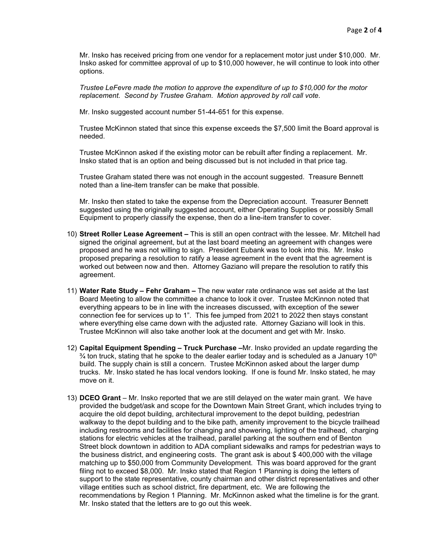Mr. Insko has received pricing from one vendor for a replacement motor just under \$10,000. Mr. Insko asked for committee approval of up to \$10,000 however, he will continue to look into other options.

*Trustee LeFevre made the motion to approve the expenditure of up to \$10,000 for the motor replacement. Second by Trustee Graham*. *Motion approved by roll call vote*.

Mr. Insko suggested account number 51-44-651 for this expense.

Trustee McKinnon stated that since this expense exceeds the \$7,500 limit the Board approval is needed.

Trustee McKinnon asked if the existing motor can be rebuilt after finding a replacement. Mr. Insko stated that is an option and being discussed but is not included in that price tag.

Trustee Graham stated there was not enough in the account suggested. Treasure Bennett noted than a line-item transfer can be make that possible.

Mr. Insko then stated to take the expense from the Depreciation account. Treasurer Bennett suggested using the originally suggested account, either Operating Supplies or possibly Small Equipment to properly classify the expense, then do a line-item transfer to cover.

- 10) **Street Roller Lease Agreement –** This is still an open contract with the lessee. Mr. Mitchell had signed the original agreement, but at the last board meeting an agreement with changes were proposed and he was not willing to sign. President Eubank was to look into this. Mr. Insko proposed preparing a resolution to ratify a lease agreement in the event that the agreement is worked out between now and then. Attorney Gaziano will prepare the resolution to ratify this agreement.
- 11) **Water Rate Study – Fehr Graham –** The new water rate ordinance was set aside at the last Board Meeting to allow the committee a chance to look it over. Trustee McKinnon noted that everything appears to be in line with the increases discussed, with exception of the sewer connection fee for services up to 1". This fee jumped from 2021 to 2022 then stays constant where everything else came down with the adjusted rate. Attorney Gaziano will look in this. Trustee McKinnon will also take another look at the document and get with Mr. Insko.
- 12) **Capital Equipment Spending – Truck Purchase –**Mr. Insko provided an update regarding the  $\frac{3}{4}$  ton truck, stating that he spoke to the dealer earlier today and is scheduled as a January 10<sup>th</sup> build. The supply chain is still a concern. Trustee McKinnon asked about the larger dump trucks. Mr. Insko stated he has local vendors looking. If one is found Mr. Insko stated, he may move on it.
- 13) **DCEO Grant** Mr. Insko reported that we are still delayed on the water main grant. We have provided the budget/ask and scope for the Downtown Main Street Grant, which includes trying to acquire the old depot building, architectural improvement to the depot building, pedestrian walkway to the depot building and to the bike path, amenity improvement to the bicycle trailhead including restrooms and facilities for changing and showering, lighting of the trailhead, charging stations for electric vehicles at the trailhead, parallel parking at the southern end of Benton Street block downtown in addition to ADA compliant sidewalks and ramps for pedestrian ways to the business district, and engineering costs. The grant ask is about \$ 400,000 with the village matching up to \$50,000 from Community Development. This was board approved for the grant filing not to exceed \$8,000. Mr. Insko stated that Region 1 Planning is doing the letters of support to the state representative, county chairman and other district representatives and other village entities such as school district, fire department, etc. We are following the recommendations by Region 1 Planning. Mr. McKinnon asked what the timeline is for the grant. Mr. Insko stated that the letters are to go out this week.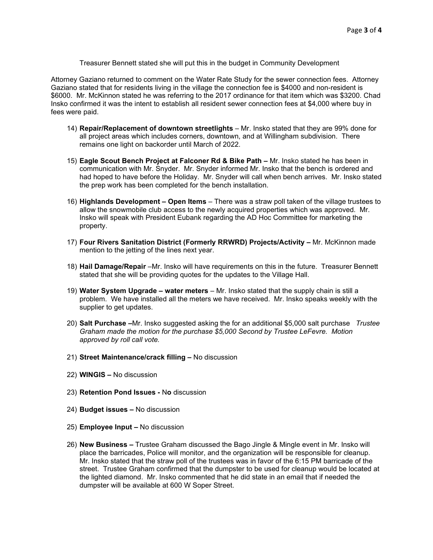Treasurer Bennett stated she will put this in the budget in Community Development

Attorney Gaziano returned to comment on the Water Rate Study for the sewer connection fees. Attorney Gaziano stated that for residents living in the village the connection fee is \$4000 and non-resident is \$6000. Mr. McKinnon stated he was referring to the 2017 ordinance for that item which was \$3200. Chad Insko confirmed it was the intent to establish all resident sewer connection fees at \$4,000 where buy in fees were paid.

- 14) **Repair/Replacement of downtown streetlights** Mr. Insko stated that they are 99% done for all project areas which includes corners, downtown, and at Willingham subdivision. There remains one light on backorder until March of 2022.
- 15) **Eagle Scout Bench Project at Falconer Rd & Bike Path –** Mr. Insko stated he has been in communication with Mr. Snyder. Mr. Snyder informed Mr. Insko that the bench is ordered and had hoped to have before the Holiday. Mr. Snyder will call when bench arrives. Mr. Insko stated the prep work has been completed for the bench installation.
- 16) **Highlands Development – Open Items** There was a straw poll taken of the village trustees to allow the snowmobile club access to the newly acquired properties which was approved. Mr. Insko will speak with President Eubank regarding the AD Hoc Committee for marketing the property.
- 17) **Four Rivers Sanitation District (Formerly RRWRD) Projects/Activity –** Mr. McKinnon made mention to the jetting of the lines next year.
- 18) **Hail Damage/Repair** –Mr. Insko will have requirements on this in the future. Treasurer Bennett stated that she will be providing quotes for the updates to the Village Hall.
- 19) **Water System Upgrade – water meters** Mr. Insko stated that the supply chain is still a problem. We have installed all the meters we have received. Mr. Insko speaks weekly with the supplier to get updates.
- 20) **Salt Purchase –**Mr. Insko suggested asking the for an additional \$5,000 salt purchase *Trustee Graham made the motion for the purchase \$5,000 Second by Trustee LeFevre. Motion approved by roll call vote.*
- 21) **Street Maintenance/crack filling –** No discussion
- 22) **WINGIS –** No discussion
- 23) **Retention Pond Issues -** N**o** discussion
- 24) **Budget issues –** No discussion
- 25) **Employee Input –** No discussion
- 26) **New Business –** Trustee Graham discussed the Bago Jingle & Mingle event in Mr. Insko will place the barricades, Police will monitor, and the organization will be responsible for cleanup. Mr. Insko stated that the straw poll of the trustees was in favor of the 6:15 PM barricade of the street. Trustee Graham confirmed that the dumpster to be used for cleanup would be located at the lighted diamond. Mr. Insko commented that he did state in an email that if needed the dumpster will be available at 600 W Soper Street.